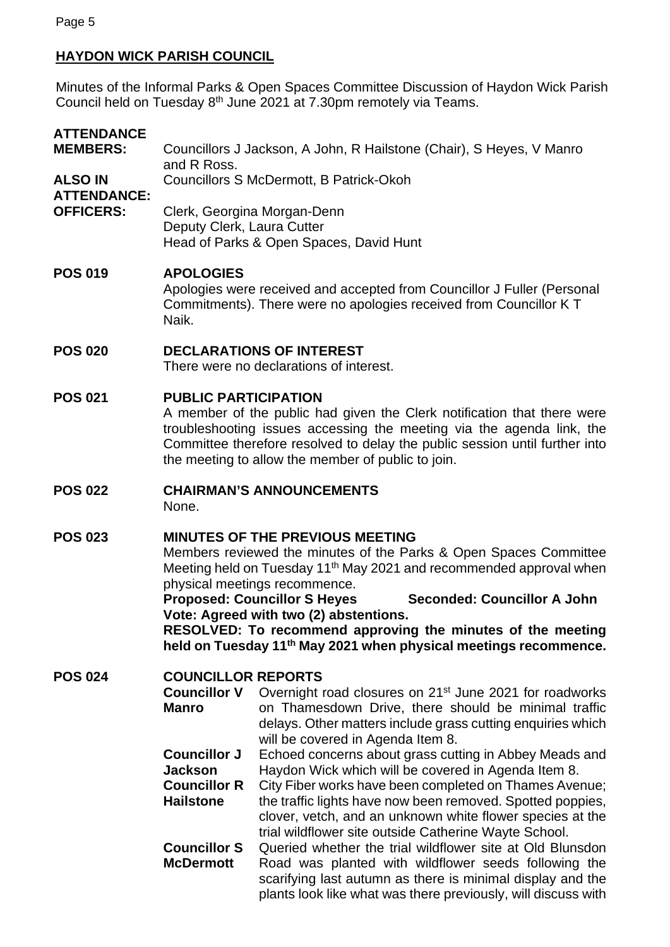# **HAYDON WICK PARISH COUNCIL**

Minutes of the Informal Parks & Open Spaces Committee Discussion of Haydon Wick Parish Council held on Tuesday 8<sup>th</sup> June 2021 at 7.30pm remotely via Teams.

| <b>ATTENDANCE</b><br><b>MEMBERS:</b>                     | Councillors J Jackson, A John, R Hailstone (Chair), S Heyes, V Manro<br>and R Ross.                                                                                                                                                                                                                                                                                                                                                                                                                   |                                                                                                                                                                                                                                                                                                   |
|----------------------------------------------------------|-------------------------------------------------------------------------------------------------------------------------------------------------------------------------------------------------------------------------------------------------------------------------------------------------------------------------------------------------------------------------------------------------------------------------------------------------------------------------------------------------------|---------------------------------------------------------------------------------------------------------------------------------------------------------------------------------------------------------------------------------------------------------------------------------------------------|
| <b>ALSO IN</b><br><b>ATTENDANCE:</b><br><b>OFFICERS:</b> | Councillors S McDermott, B Patrick-Okoh                                                                                                                                                                                                                                                                                                                                                                                                                                                               |                                                                                                                                                                                                                                                                                                   |
|                                                          | Deputy Clerk, Laura Cutter                                                                                                                                                                                                                                                                                                                                                                                                                                                                            | Clerk, Georgina Morgan-Denn<br>Head of Parks & Open Spaces, David Hunt                                                                                                                                                                                                                            |
| <b>POS 019</b>                                           | <b>APOLOGIES</b><br>Apologies were received and accepted from Councillor J Fuller (Personal<br>Commitments). There were no apologies received from Councillor KT<br>Naik.                                                                                                                                                                                                                                                                                                                             |                                                                                                                                                                                                                                                                                                   |
| <b>POS 020</b>                                           | <b>DECLARATIONS OF INTEREST</b><br>There were no declarations of interest.                                                                                                                                                                                                                                                                                                                                                                                                                            |                                                                                                                                                                                                                                                                                                   |
| <b>POS 021</b>                                           | <b>PUBLIC PARTICIPATION</b><br>A member of the public had given the Clerk notification that there were<br>troubleshooting issues accessing the meeting via the agenda link, the<br>Committee therefore resolved to delay the public session until further into<br>the meeting to allow the member of public to join.                                                                                                                                                                                  |                                                                                                                                                                                                                                                                                                   |
| <b>POS 022</b>                                           | <b>CHAIRMAN'S ANNOUNCEMENTS</b><br>None.                                                                                                                                                                                                                                                                                                                                                                                                                                                              |                                                                                                                                                                                                                                                                                                   |
| <b>POS 023</b>                                           | <b>MINUTES OF THE PREVIOUS MEETING</b><br>Members reviewed the minutes of the Parks & Open Spaces Committee<br>Meeting held on Tuesday 11 <sup>th</sup> May 2021 and recommended approval when<br>physical meetings recommence.<br><b>Proposed: Councillor S Heyes</b><br><b>Seconded: Councillor A John</b><br>Vote: Agreed with two (2) abstentions.<br>RESOLVED: To recommend approving the minutes of the meeting<br>held on Tuesday 11 <sup>th</sup> May 2021 when physical meetings recommence. |                                                                                                                                                                                                                                                                                                   |
| <b>POS 024</b>                                           | <b>COUNCILLOR REPORTS</b><br><b>Councillor V</b><br><b>Manro</b><br><b>Councillor J</b>                                                                                                                                                                                                                                                                                                                                                                                                               | Overnight road closures on 21 <sup>st</sup> June 2021 for roadworks<br>on Thamesdown Drive, there should be minimal traffic<br>delays. Other matters include grass cutting enquiries which<br>will be covered in Agenda Item 8.<br>Echoed concerns about grass cutting in Abbey Meads and         |
|                                                          | <b>Jackson</b><br><b>Councillor R</b><br><b>Hailstone</b>                                                                                                                                                                                                                                                                                                                                                                                                                                             | Haydon Wick which will be covered in Agenda Item 8.<br>City Fiber works have been completed on Thames Avenue;<br>the traffic lights have now been removed. Spotted poppies,<br>clover, vetch, and an unknown white flower species at the<br>trial wildflower site outside Catherine Wayte School. |
|                                                          | <b>Councillor S</b><br><b>McDermott</b>                                                                                                                                                                                                                                                                                                                                                                                                                                                               | Queried whether the trial wildflower site at Old Blunsdon<br>Road was planted with wildflower seeds following the<br>scarifying last autumn as there is minimal display and the<br>plants look like what was there previously, will discuss with                                                  |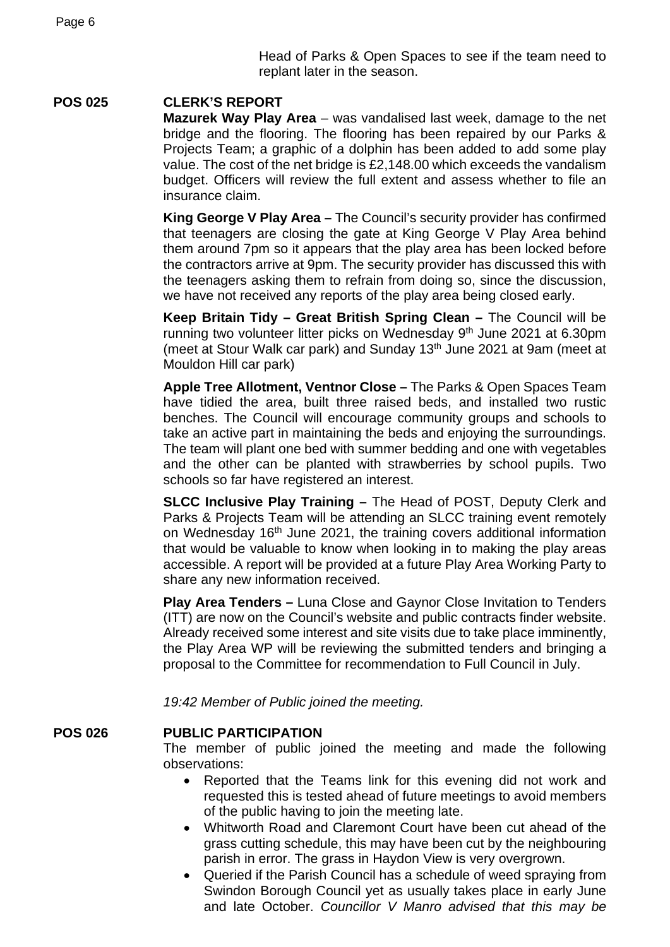Head of Parks & Open Spaces to see if the team need to replant later in the season.

### **POS 025 CLERK'S REPORT**

**Mazurek Way Play Area** – was vandalised last week, damage to the net bridge and the flooring. The flooring has been repaired by our Parks & Projects Team; a graphic of a dolphin has been added to add some play value. The cost of the net bridge is £2,148.00 which exceeds the vandalism budget. Officers will review the full extent and assess whether to file an insurance claim.

**King George V Play Area –** The Council's security provider has confirmed that teenagers are closing the gate at King George V Play Area behind them around 7pm so it appears that the play area has been locked before the contractors arrive at 9pm. The security provider has discussed this with the teenagers asking them to refrain from doing so, since the discussion, we have not received any reports of the play area being closed early.

**Keep Britain Tidy – Great British Spring Clean –** The Council will be running two volunteer litter picks on Wednesday 9<sup>th</sup> June 2021 at 6.30pm (meet at Stour Walk car park) and Sunday 13<sup>th</sup> June 2021 at 9am (meet at Mouldon Hill car park)

**Apple Tree Allotment, Ventnor Close –** The Parks & Open Spaces Team have tidied the area, built three raised beds, and installed two rustic benches. The Council will encourage community groups and schools to take an active part in maintaining the beds and enjoying the surroundings. The team will plant one bed with summer bedding and one with vegetables and the other can be planted with strawberries by school pupils. Two schools so far have registered an interest.

**SLCC Inclusive Play Training –** The Head of POST, Deputy Clerk and Parks & Projects Team will be attending an SLCC training event remotely on Wednesday 16th June 2021, the training covers additional information that would be valuable to know when looking in to making the play areas accessible. A report will be provided at a future Play Area Working Party to share any new information received.

**Play Area Tenders –** Luna Close and Gaynor Close Invitation to Tenders (ITT) are now on the Council's website and public contracts finder website. Already received some interest and site visits due to take place imminently, the Play Area WP will be reviewing the submitted tenders and bringing a proposal to the Committee for recommendation to Full Council in July.

*19:42 Member of Public joined the meeting.*

### **POS 026 PUBLIC PARTICIPATION**

The member of public joined the meeting and made the following observations:

- Reported that the Teams link for this evening did not work and requested this is tested ahead of future meetings to avoid members of the public having to join the meeting late.
- Whitworth Road and Claremont Court have been cut ahead of the grass cutting schedule, this may have been cut by the neighbouring parish in error. The grass in Haydon View is very overgrown.
- Queried if the Parish Council has a schedule of weed spraying from Swindon Borough Council yet as usually takes place in early June and late October. *Councillor V Manro advised that this may be*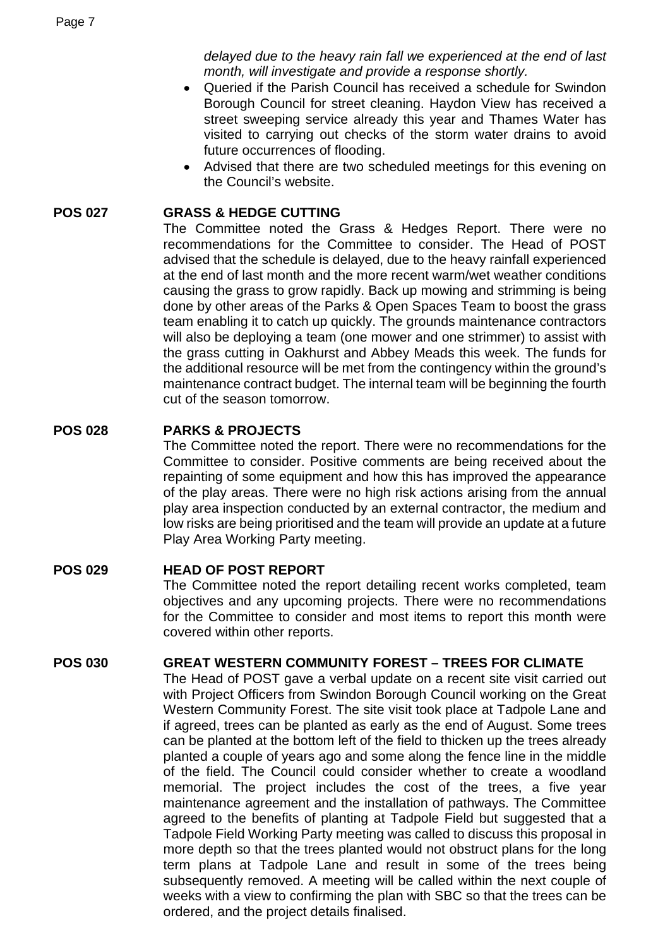*delayed due to the heavy rain fall we experienced at the end of last month, will investigate and provide a response shortly.*

- Queried if the Parish Council has received a schedule for Swindon Borough Council for street cleaning. Haydon View has received a street sweeping service already this year and Thames Water has visited to carrying out checks of the storm water drains to avoid future occurrences of flooding.
- Advised that there are two scheduled meetings for this evening on the Council's website.

### **POS 027 GRASS & HEDGE CUTTING**

The Committee noted the Grass & Hedges Report. There were no recommendations for the Committee to consider. The Head of POST advised that the schedule is delayed, due to the heavy rainfall experienced at the end of last month and the more recent warm/wet weather conditions causing the grass to grow rapidly. Back up mowing and strimming is being done by other areas of the Parks & Open Spaces Team to boost the grass team enabling it to catch up quickly. The grounds maintenance contractors will also be deploying a team (one mower and one strimmer) to assist with the grass cutting in Oakhurst and Abbey Meads this week. The funds for the additional resource will be met from the contingency within the ground's maintenance contract budget. The internal team will be beginning the fourth cut of the season tomorrow.

#### **POS 028 PARKS & PROJECTS**

The Committee noted the report. There were no recommendations for the Committee to consider. Positive comments are being received about the repainting of some equipment and how this has improved the appearance of the play areas. There were no high risk actions arising from the annual play area inspection conducted by an external contractor, the medium and low risks are being prioritised and the team will provide an update at a future Play Area Working Party meeting.

### **POS 029 HEAD OF POST REPORT**

The Committee noted the report detailing recent works completed, team objectives and any upcoming projects. There were no recommendations for the Committee to consider and most items to report this month were covered within other reports.

#### **POS 030 GREAT WESTERN COMMUNITY FOREST – TREES FOR CLIMATE**

The Head of POST gave a verbal update on a recent site visit carried out with Project Officers from Swindon Borough Council working on the Great Western Community Forest. The site visit took place at Tadpole Lane and if agreed, trees can be planted as early as the end of August. Some trees can be planted at the bottom left of the field to thicken up the trees already planted a couple of years ago and some along the fence line in the middle of the field. The Council could consider whether to create a woodland memorial. The project includes the cost of the trees, a five year maintenance agreement and the installation of pathways. The Committee agreed to the benefits of planting at Tadpole Field but suggested that a Tadpole Field Working Party meeting was called to discuss this proposal in more depth so that the trees planted would not obstruct plans for the long term plans at Tadpole Lane and result in some of the trees being subsequently removed. A meeting will be called within the next couple of weeks with a view to confirming the plan with SBC so that the trees can be ordered, and the project details finalised.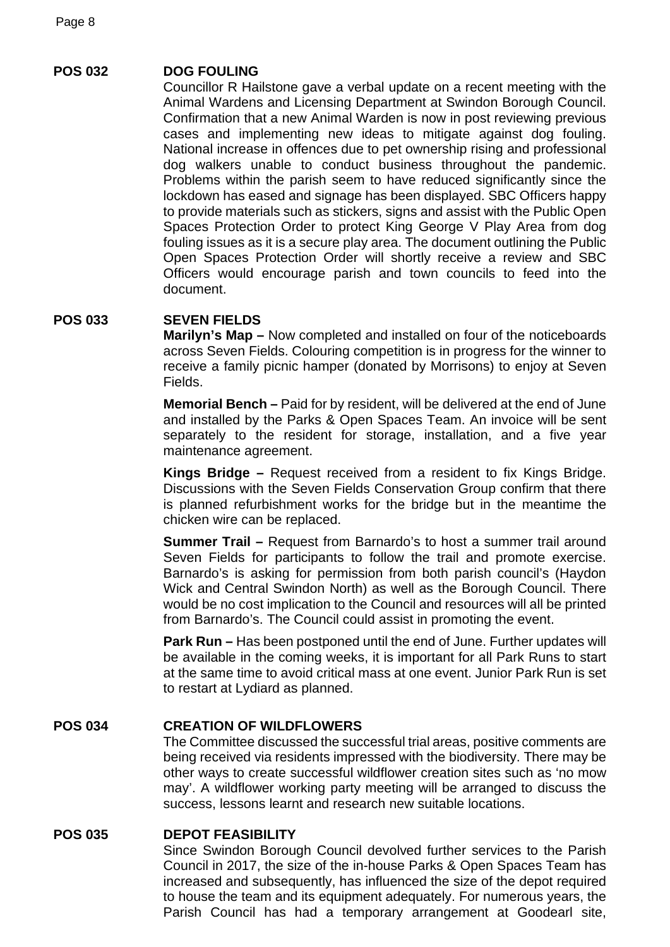# **POS 032 DOG FOULING**

Councillor R Hailstone gave a verbal update on a recent meeting with the Animal Wardens and Licensing Department at Swindon Borough Council. Confirmation that a new Animal Warden is now in post reviewing previous cases and implementing new ideas to mitigate against dog fouling. National increase in offences due to pet ownership rising and professional dog walkers unable to conduct business throughout the pandemic. Problems within the parish seem to have reduced significantly since the lockdown has eased and signage has been displayed. SBC Officers happy to provide materials such as stickers, signs and assist with the Public Open Spaces Protection Order to protect King George V Play Area from dog fouling issues as it is a secure play area. The document outlining the Public Open Spaces Protection Order will shortly receive a review and SBC Officers would encourage parish and town councils to feed into the document.

# **POS 033 SEVEN FIELDS**

**Marilyn's Map –** Now completed and installed on four of the noticeboards across Seven Fields. Colouring competition is in progress for the winner to receive a family picnic hamper (donated by Morrisons) to enjoy at Seven Fields.

**Memorial Bench –** Paid for by resident, will be delivered at the end of June and installed by the Parks & Open Spaces Team. An invoice will be sent separately to the resident for storage, installation, and a five year maintenance agreement.

**Kings Bridge –** Request received from a resident to fix Kings Bridge. Discussions with the Seven Fields Conservation Group confirm that there is planned refurbishment works for the bridge but in the meantime the chicken wire can be replaced.

**Summer Trail –** Request from Barnardo's to host a summer trail around Seven Fields for participants to follow the trail and promote exercise. Barnardo's is asking for permission from both parish council's (Haydon Wick and Central Swindon North) as well as the Borough Council. There would be no cost implication to the Council and resources will all be printed from Barnardo's. The Council could assist in promoting the event.

**Park Run –** Has been postponed until the end of June. Further updates will be available in the coming weeks, it is important for all Park Runs to start at the same time to avoid critical mass at one event. Junior Park Run is set to restart at Lydiard as planned.

# **POS 034 CREATION OF WILDFLOWERS**

The Committee discussed the successful trial areas, positive comments are being received via residents impressed with the biodiversity. There may be other ways to create successful wildflower creation sites such as 'no mow may'. A wildflower working party meeting will be arranged to discuss the success, lessons learnt and research new suitable locations.

### **POS 035 DEPOT FEASIBILITY**

Since Swindon Borough Council devolved further services to the Parish Council in 2017, the size of the in-house Parks & Open Spaces Team has increased and subsequently, has influenced the size of the depot required to house the team and its equipment adequately. For numerous years, the Parish Council has had a temporary arrangement at Goodearl site,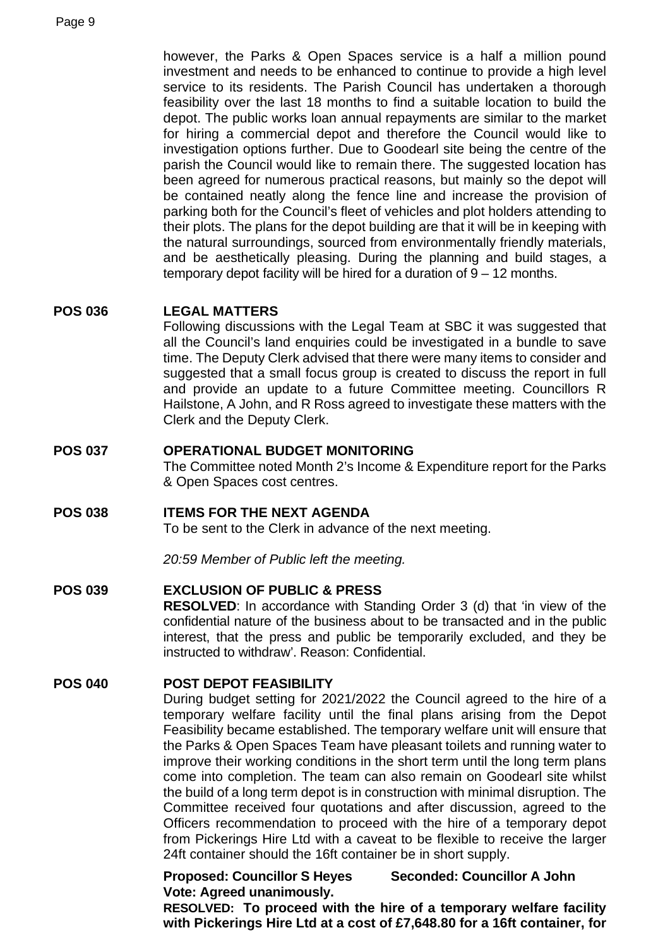however, the Parks & Open Spaces service is a half a million pound investment and needs to be enhanced to continue to provide a high level service to its residents. The Parish Council has undertaken a thorough feasibility over the last 18 months to find a suitable location to build the depot. The public works loan annual repayments are similar to the market for hiring a commercial depot and therefore the Council would like to investigation options further. Due to Goodearl site being the centre of the parish the Council would like to remain there. The suggested location has been agreed for numerous practical reasons, but mainly so the depot will be contained neatly along the fence line and increase the provision of parking both for the Council's fleet of vehicles and plot holders attending to their plots. The plans for the depot building are that it will be in keeping with the natural surroundings, sourced from environmentally friendly materials, and be aesthetically pleasing. During the planning and build stages, a temporary depot facility will be hired for a duration of  $9 - 12$  months.

### **POS 036 LEGAL MATTERS**

Following discussions with the Legal Team at SBC it was suggested that all the Council's land enquiries could be investigated in a bundle to save time. The Deputy Clerk advised that there were many items to consider and suggested that a small focus group is created to discuss the report in full and provide an update to a future Committee meeting. Councillors R Hailstone, A John, and R Ross agreed to investigate these matters with the Clerk and the Deputy Clerk.

### **POS 037 OPERATIONAL BUDGET MONITORING**

The Committee noted Month 2's Income & Expenditure report for the Parks & Open Spaces cost centres.

# **POS 038 ITEMS FOR THE NEXT AGENDA**

To be sent to the Clerk in advance of the next meeting.

*20:59 Member of Public left the meeting.*

### **POS 039 EXCLUSION OF PUBLIC & PRESS**

**RESOLVED**: In accordance with Standing Order 3 (d) that 'in view of the confidential nature of the business about to be transacted and in the public interest, that the press and public be temporarily excluded, and they be instructed to withdraw'. Reason: Confidential.

### **POS 040 POST DEPOT FEASIBILITY**

During budget setting for 2021/2022 the Council agreed to the hire of a temporary welfare facility until the final plans arising from the Depot Feasibility became established. The temporary welfare unit will ensure that the Parks & Open Spaces Team have pleasant toilets and running water to improve their working conditions in the short term until the long term plans come into completion. The team can also remain on Goodearl site whilst the build of a long term depot is in construction with minimal disruption. The Committee received four quotations and after discussion, agreed to the Officers recommendation to proceed with the hire of a temporary depot from Pickerings Hire Ltd with a caveat to be flexible to receive the larger 24ft container should the 16ft container be in short supply.

**Proposed: Councillor S Heyes Seconded: Councillor A John Vote: Agreed unanimously.**

**RESOLVED: To proceed with the hire of a temporary welfare facility with Pickerings Hire Ltd at a cost of £7,648.80 for a 16ft container, for**